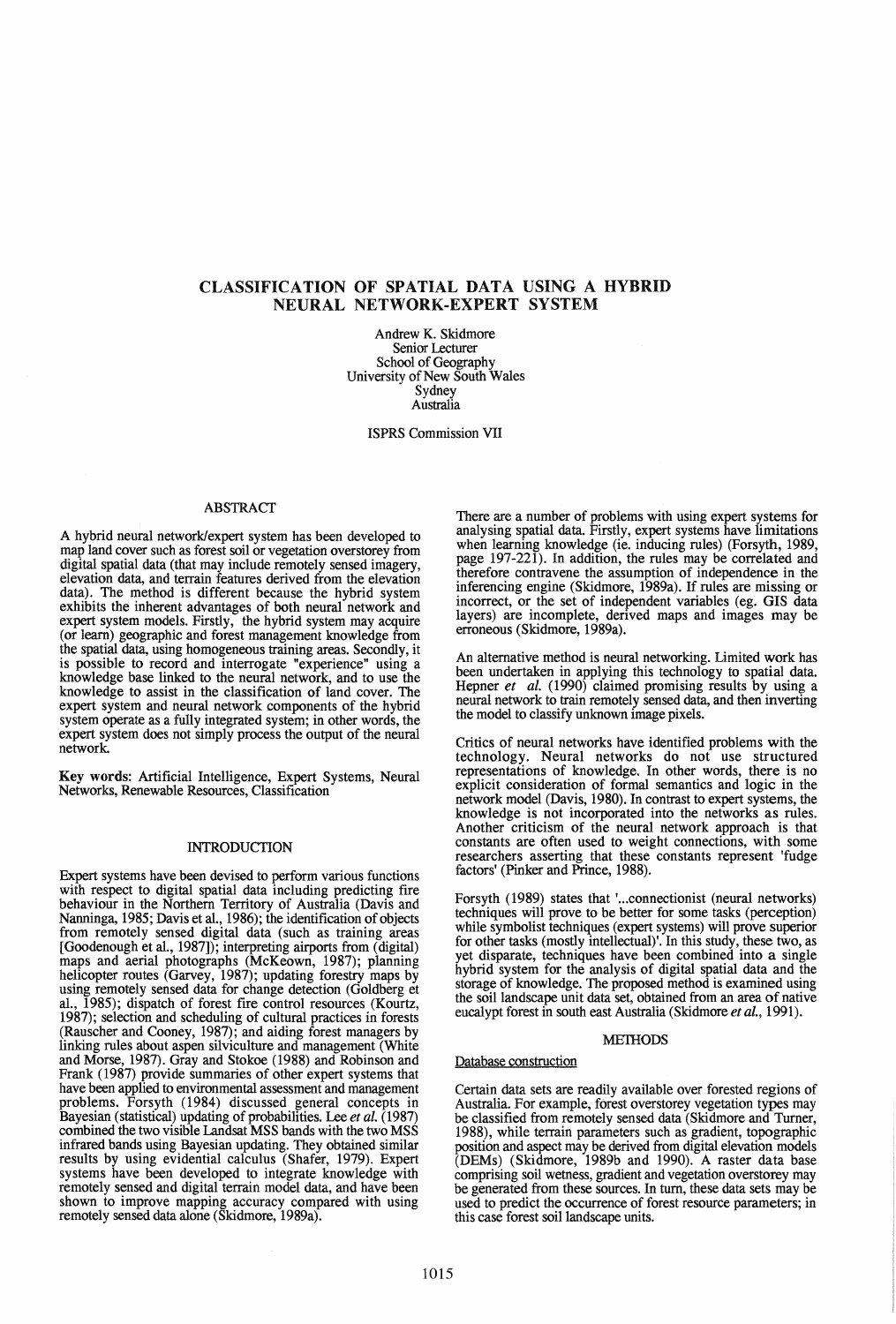# CLASSIFICATION OF SPATIAL DATA USING A HYBRID NEURAL NETWORK-EXPERT SYSTEM

Andrew K. Skidmore Senior Lecturer School of Geography University of New South Wales Sydney Australia

ISPRS Commission VII

# ABSTRACT

A hybrid neural network/expert system has been developed to map land cover such as forest soil or vegetation overstorey from digital spatial data (that may include remotely sensed imagery, elevation data, and terrain features derived from the elevation data). The method is different because the hybrid system exhibits the inherent advantages of both neural network and expert system models. Firstly, the hybrid system may acquire (or learn) geographic and forest management knowledge from the spatial data, using homogeneous training areas. Secondly, it IS possIble to record and mterrogate "experience" using a knowledge base linked to the neural network, and to use the knowledge to assist in the classification of land cover. The expert system and neural network components of the hybrid system operate as a fully integrated system; in other words, the expert system does not simply process the output of the neural network.

Key words: Artificial Intelligence, Expert Systems, Neural Networks, Renewable Resources, Classification

### INTRODUCTION

Expert systems have been devised to perform various functions with respect to digital spatial data including predicting fire behaviour in the Northern Territory of Australia (Davis and Nanninga, 1985; Davis et al., 1986); the identification of objects from remotely sensed digital data (such as training areas [Goodenough et al., 1987]); interpreting airports from (digital) maps and aerial photographs (McKeown, 1987); planning helicopter routes (Garvey, 1987); updating forestry maps by using remotely sensed data for change detection (Goldberg et al., 1985); dispatch of forest fire control resources (Kourtz, 1987); selection and scheduling of cultural practices in forests (Rauscher and Cooney, 1987); and aiding forest managers by linking rules about aspen silviculture and management (White and Morse, 1987). Gray and Stokoe (1988) and Robinson and Frank (1987) provide summaries of other expert systems that have been applied to environmental assessment and management problems. Forsyth (1984) discussed general concepts in Bayesian (statistical) updating of probabilities. Lee *et al.* (1987) combined the two visible landsat MSS bands with the two MSS infrared bands using Bayesian updating. They obtained similar results by using evidential calculus (Shafer, 1979). Expert systems have been developed to integrate knowledge with remotely sensed and digital terrain model data, and have been shown to improve mapping accuracy compared with using remotely sensed data alone (Skidmore, 1989a).

There are a number of problems with using expert systems for analysing spatial data. Firstly, expert systems have limitations when learning knowledge (ie. inducing rules) (Forsyth, 1989, page  $197-221$ ). In addition, the rules may be correlated and therefore contravene the assumption of independence in the inferencing engine (Skidmore, 1989a). If rules are missing or mcorrect, or the set of mdependent variables (eg. GIS data layers) are incomplete, derived maps and images may be erroneous (Skidmore, 1989a).

An alternative method is neural networking. Limited work has been undertaken in applying this technology to spatial data. Hepner *et al.* (1990) claimed promising results by using a neural network to tram remotely sensed data, and then inverting the model to classify unknown image pixels.

Critics of neural networks have identified problems with the technology. Neural networks do not use structured<br>representations of knowledge. In other words, there is no representations of knowledge. In other words, there is no explicit consideration of formal semantics and logic in the network model (Davis, 1980). In contrast to expert systems, the knowledge is not incorporated into the networks as rules.<br>Another criticism of the neural network approach is that constants are often used to weight connections, with some researchers asserting that these constants represent 'fudge factors' (Pinker and Prince, 1988).

Forsyth (1989) states that '... connectionist (neural networks) techniques will prove to be better for some tasks (perception) while symbolist techniques (expert systems) will prove superior<br>for other tasks (mostly intellectual). In this study, these two, as yet disparate, techniques have been combined into a single hybrid system for the analysis of digital spatial data and the storage of knowledge. The proposed method is examined using the soil landscape unit data set, obtained from an area of native eucalypt forest in south east Australia (Skidmore *et* a/., 1991).

### MEIHODS

# Database construction

Certain. data sets are readily available over forested regions of Australia. For example, forest overstorey vegetation types may be classified from remotely sensed data (Skidmore and Turner 1988), while terrain parameters such as gradient, topographic position and aspect may be derived from digital elevation models (DBMs) (Skidmore, 1989b and 1990). A raster data base comprising soil wetness, gradient and vegetation overstorey may be generated from these sources. In turn, these data sets may be used to predict the occurrence of forest resource parameters; in this case forest soil landscape units. '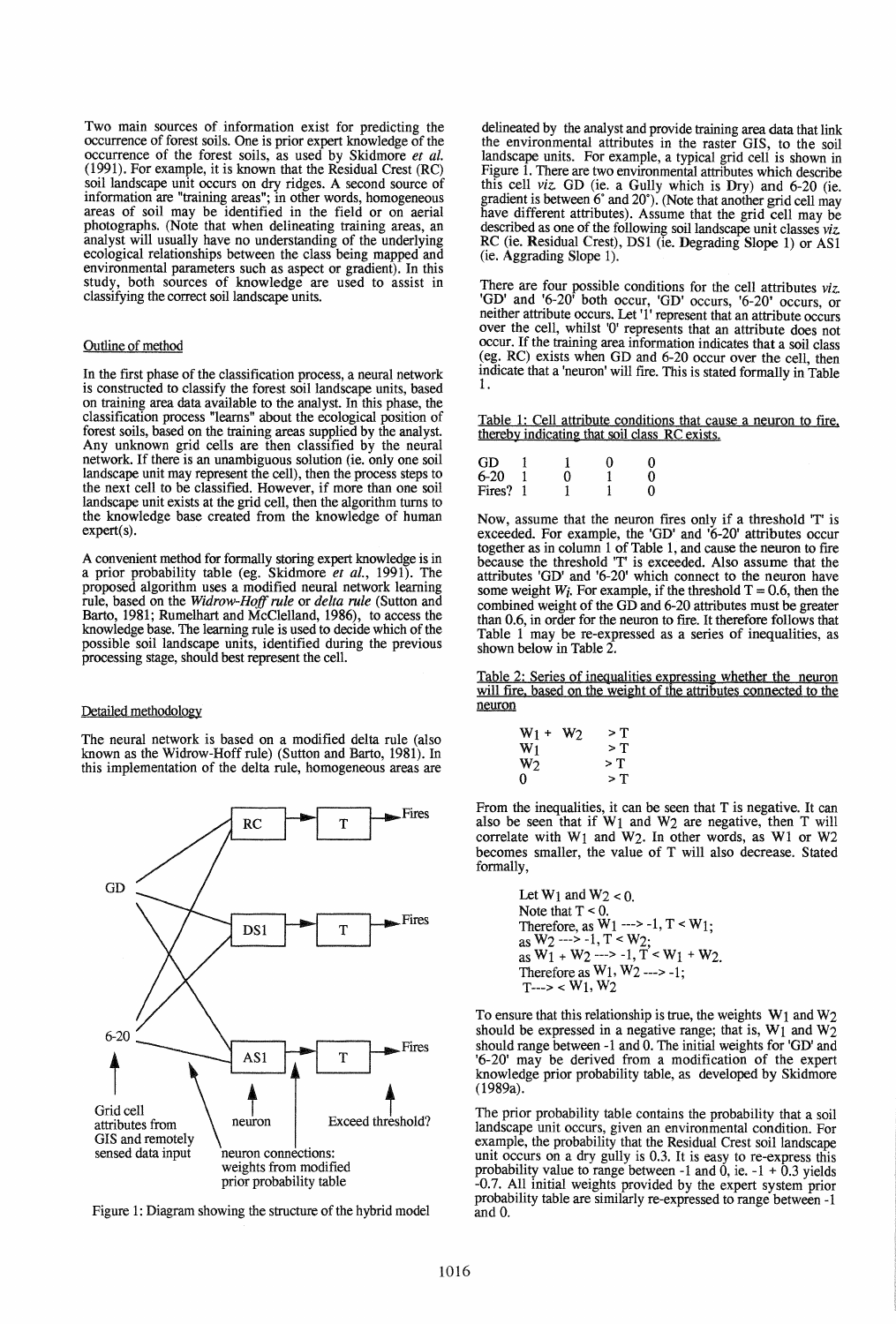Two main sources of information exist for predicting the occurrence of forest soils. One is prior expert knowledge of the occurrence of the forest soils, as used by Skidmore *et al.*  (1991). For example, it is known that the Residual Crest (RC) soil landscape unit occurs on dry ridges. A second source of information are "training areas"; in other words, homogeneous areas of soil may be identified in the field or on aerial photographs. (Note that when delineating training areas, an analyst will usually have no understanding of the underlying ecological relationships between the class being mapped and environmental parameters such as aspect or gradient). In this study, both sources of knowledge are used to assist in classifying the correct soil landscape units.

#### Outline of method

In the first phase of the classification process, a neural network is constructed to classify the forest soil landscape units, based on training area data available to the analyst. In this phase, the classification process "learns" about the ecological position of forest soils, based on the training areas supplied by the analyst. Any unknown grid cells are then classified by the neural network. If there is an unambiguous solution (ie. only one soil landscape unit may represent the cell), then the process steps to the next cell to be classified. However, if more than one soil landscape unit exists at the grid cell, then the algorithm turns to the knowledge base created from the knowledge of human expert(s).

A convenient method for formally storing expert knowledge is in a prior probability table (eg. Skidmore *et al.,* 1991). The proposed algorithm uses a modified neural network learning rule, based on the *Widrow-Hoff rule* or *delta rule* (Sutton and Barto, 1981; Rumelhart and McClelland, 1986), to access the knowledge base. The learning rule is used to decide which of the possible soil landscape units, identified during the previous processing stage, should best represent the cell.

# Detailed methodology

The neural network is based on a modified delta rule (also known as the Widrow-Hoff rule) (Sutton and Barto, 1981). In this implementation of the delta rule, homogeneous areas are



Figure 1: Diagram showing the structure of the hybrid model

delineated by the analyst and provide training area data that link the environmental attributes in the raster GIS, to the soil landscape units. For example, a typical grid cell is shown in Figure 1. There are two environmental attributes which describe this cell *viz.* GD (ie. a Gully which is Dry) and 6-20 (ie. gradient is between  $6^{\circ}$  and  $20^{\circ}$ ). (Note that another grid cell may have different attributes). Assume that the grid cell may be described as one of the following soil landscape unit classes *viz.*  RC (ie. Residual Crest), DSI (ie. Degrading Slope 1) or ASI (ie. Aggrading Slope 1).

There are four possible conditions for the cell attributes *viz.*  'GD' and '6-20' both occur, 'GD' occurs, '6-20' occurs, or neither attribute occurs. Let **'1'** represent that an attribute occurs over the cell, whilst '0' represents that an attribute does not occur. If the training area information indicates that a soil class (eg. RC) exists when GD and 6-20 occur over the cell, then indicate that a 'neuron' will fire. This is stated formally in Table 1.

Table 1: Cell attribute conditions that cause a neuron to fire. thereby indicating that soil class RC exists.

| GD     |   | O | Ω |
|--------|---|---|---|
| $6-20$ | Ω |   | O |
| Fires? |   |   | 0 |

Now, assume that the neuron fires only if a threshold 'T' is exceeded. For example, the 'GD' and '6-20' attributes occur together as in column 1 of Table 1, and cause the neuron to fire because the threshold 'T' is exceeded. Also assume that the attributes 'GD' and '6-20' which connect to the neuron have some weight  $W_i$ . For example, if the threshold  $T = 0.6$ , then the combined weight of the GD and 6-20 attributes must be greater than 0.6, in order for the neuron to fire. It therefore follows that Table 1 may be re-expressed as a series of inequalities, as shown below in Table 2.

Table 2: Series of inequalities expressing whether the neuron will fire, based on the weight of the attributes connected to the neuron

| W1 +           | W <sub>2</sub> | > T   |
|----------------|----------------|-------|
| $W_1$          |                | $>$ T |
| W <sub>2</sub> |                | > T   |
| 0              |                | > T   |

From the inequalities, it can be seen that T is negative. It can also be seen that if  $W_1$  and  $W_2$  are negative, then T will correlate with WI and W2. In other words, as WI or W2 becomes smaller, the value of T will also decrease. Stated formally,

> Let  $W_1$  and  $W_2 < 0$ . Note that  $T < 0$ . Therefore, as  $\widetilde{W}_1$  ---> -1, T < W<sub>1</sub>; as  $W_2$  ---> -1,  $T \leq W_2$ ; as  $W_1 + W_2$  ---> -1,  $T \le W_1 + W_2$ . Therefore as  $W_1$ ,  $W_2$  ---> -1;  $T\rightarrow W_1, W_2$

To ensure that this relationship is true, the weights  $W_1$  and  $W_2$ should be expressed in a negative range; that is,  $W_1$  and  $W_2$ should range between -1 and O. The initial weights for 'GD' and '6-20' may be derived from a modification of the expert knowledge prior probability table, as developed by Skidmore (1989a).

The prior probability table contains the probability that a soil landscape unit occurs, given an environmental condition. For example, the probability that the Residual Crest soil landscape unit occurs on a dry gully is 0.3. It is easy to re-express this probability value to range between  $-1$  and 0, ie.  $-1 + 0.3$  yields -0.7. All initial weights provided by the expert system prior probability table are similarly re-expressed to range between -1 and 0.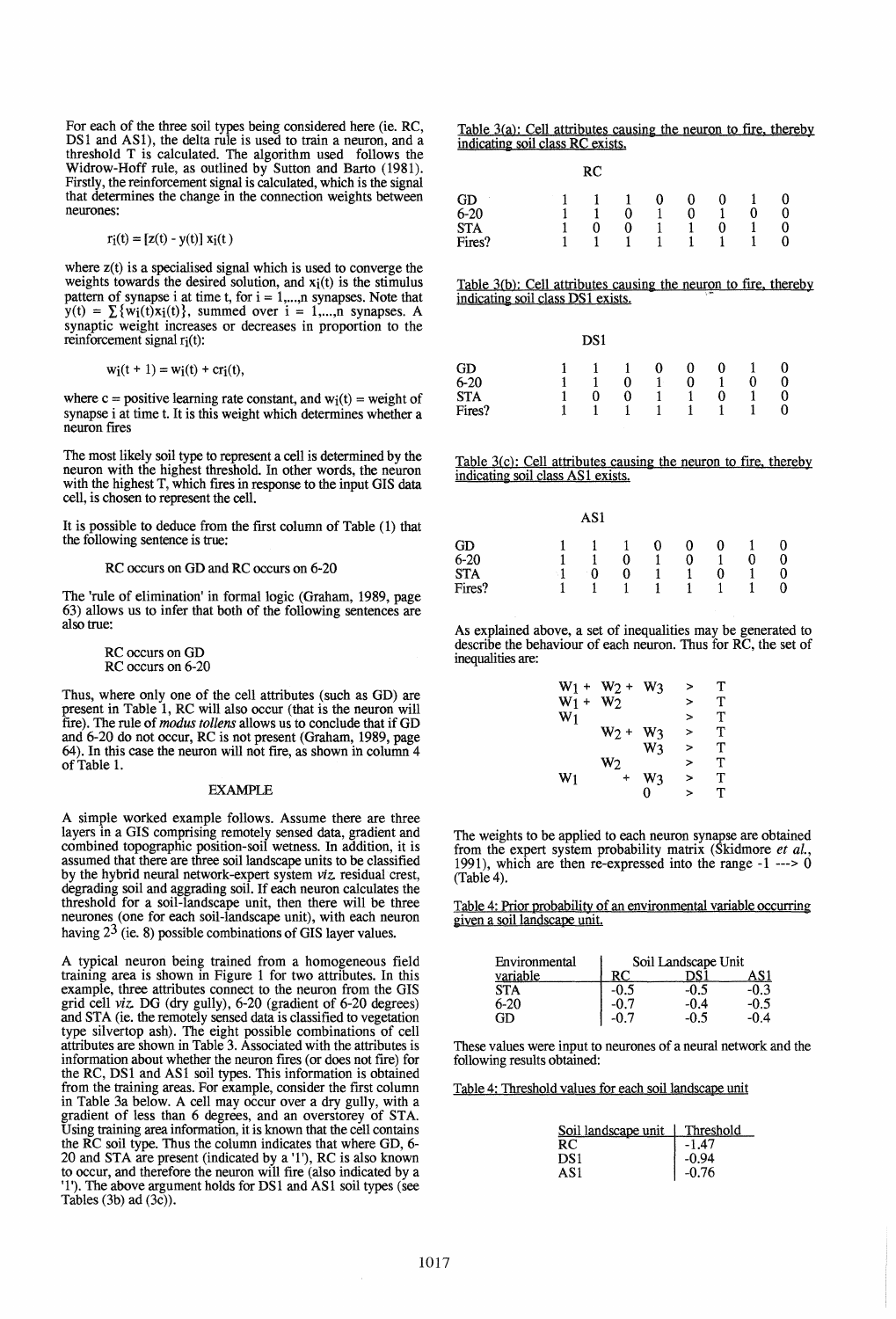For each of the three soil types being considered here (ie. RC, DS1 and AS1), the delta rule is used to train a neuron, and a threshold T is calculated. The algorithm used follows the Widrow-Hoff rule, as outlined by Sutton and Barto (1981). Firstly, the reinforcement signal is calculated, which is the signal that determines the change in the connection weights between neurones:

$$
r_i(t) = [z(t) - y(t)] x_i(t)
$$

where  $z(t)$  is a specialised signal which is used to converge the weights towards the desired solution, and  $x_i(t)$  is the stimulus pattern of synapse i at time t, for  $i = 1,...,n$  synapses. Note that  $y(t) = \sum \{w_i(t)x_i(t)\}\$ , summed over  $i = 1,...,n$  synapses. A synaptic weight increases or decreases in proportion to the reinforcement signal  $r_i(t)$ :

$$
w_i(t + 1) = w_i(t) + cr_i(t),
$$

where  $c =$  positive learning rate constant, and  $w_i(t) =$  weight of synapse i at time t. It is this weight which determines whether a neuron frres

The most likely soil type to represent a cell is determined by the neuron with the highest threshold. In other words, the neuron with the highest T, which frres in response to the input GIS data cell, is chosen to represent the cell.

It is possible to deduce from the first column of Table (1) that the following sentence is true:

# RC occurs on GO and RC occurs on 6-20

The 'rule of elimination' in formal logic (Graham, 1989, page 63) allows us to infer that both of the following sentences are also true:

> RC occurs on GO RC occurs on 6-20

Thus, where only one of the cell attributes (such as GO) are present in Table 1, RC will also occur (that is the neuron will fire). The rule of *modus tollens* allows us to conclude that if GD and 6-20 do not occur, RC is not present (Graham, 1989, page 64). In this case the neuron will not frre, as shown in column 4 of Table 1.

#### EXAMPLE

A simple worked example follows. Assume there are three layers in a GIS comprising remotely sensed data, gradient and combined topographic position-soil wetness. In addition, it is assumed that there are three soil landscape units to be classified by the hybrid neural network-expert system *viz.* residual crest, degrading soil and aggrading soil. If each neuron calculates the threshold for a soil-landscape unit, then there will be three neurones (one for each soil-landscape unit), with each neuron having  $2^3$  (ie. 8) possible combinations of GIS layer values.

A typical neuron being trained from a homogeneous field training area is shown in Figure 1 for two attributes. In this example, three attributes connect to the neuron from the GIS grid cell *viz.* DG (dry gully), 6-20 (gradient of 6-20 degrees) and STA (ie. the remotely sensed data is classified to vegetation type silvertop ash). The eight possible combinations of cell attributes are shown in Table 3. Associated with the attributes is information about whether the neuron frres (or does not frre) for the RC, DS1 and AS1 soil types. This information is obtained from the training areas. For example, consider the frrst column in Table 3a below. A cell may occur over a dry gully, with a gradient of less than 6 degrees, and an overstorey of STA. Using training area information, it is known that the cell contains the RC soil type. Thus the column indicates that where GO, 6- 20 and STA are present (indicated by a '1'), RC is also known to occur, and therefore the neuron will fire (also indicated by a 'I'). The above argument holds for OSI and ASI soil types (see Tables  $(3b)$  ad  $(3c)$ ).

Table  $3(a)$ : Cell attributes causing the neuron to fire, thereby indicating soil class RC exists.

|            | RC |                |              |              |   |   |   |
|------------|----|----------------|--------------|--------------|---|---|---|
| GD         |    | $\mathbf{1}$   | 0            | 0            | 0 |   |   |
| $6 - 20$   |    | 0              | 1            | 0            | 1 | 0 | 0 |
| <b>STA</b> |    | 0              | $\mathbf{1}$ | 1            | 0 |   | 0 |
| Fires?     |    | $\overline{1}$ | $\sim$ 1     | $\mathbf{1}$ |   |   | 0 |

Table 3(b): Cell attributes causing the neuron to fire, thereby indicating soil class DS1 exists.

|            | DS1 |              |       |   |   |   |  |
|------------|-----|--------------|-------|---|---|---|--|
| GD         |     | $\mathbf{1}$ | 0     | 0 | 0 |   |  |
| $6 - 20$   |     | 0            | $1 -$ | 0 |   | 0 |  |
| <b>STA</b> | 0   | 0            |       |   | 0 |   |  |
| Fires?     |     |              | 1.    | 1 |   |   |  |

Table  $3(c)$ : Cell attributes causing the neuron to fire, thereby indicating soil class AS1 exists.

|            |    | AS1 |   |                |   |   |   |   |
|------------|----|-----|---|----------------|---|---|---|---|
| GD         |    | 1   |   | 0              | 0 | 0 |   |   |
| $6 - 20$   |    |     | 0 |                | 0 |   | 0 | 0 |
| <b>STA</b> | -1 | 0   | 0 |                |   | 0 |   | 0 |
| Fires?     |    |     |   | $\blacksquare$ | 1 |   |   | 0 |

As explained above, a set of inequalities may be generated to describe the behaviour of each neuron. Thus for RC, the set of inequalities are:

| $W_1 +$ | $W_2 +$        | W٩ | > | т |
|---------|----------------|----|---|---|
| $W_1 +$ | W <sub>2</sub> |    | > | т |
| $W_1$   |                |    | > | т |
|         | $W_2 +$        | W٦ | > | т |
|         |                | W3 | > | т |
|         | W <sub>2</sub> |    | > | т |
| $W_1$   | ۰              | W٩ | > | т |
|         |                | O  | > | т |

The weights to be applied to each neuron synapse are obtained from the expert system probability matrix (Skidmore *et ai.,*  1991), which are then re-expressed into the range -1 ---> 0 (Table 4).

Table 4: Prior probability of an environmental variable occurring given a soil landscape unit.

| Environmental | Soil Landscape Unit |        |        |  |  |
|---------------|---------------------|--------|--------|--|--|
| variable      | RC.                 |        | AS 1   |  |  |
| <b>STA</b>    | $-0.5$              | -0.5   | $-0.3$ |  |  |
| $6-20$        |                     | $-0.4$ | -0.5   |  |  |
| GD            |                     | $-0.5$ | -0.4   |  |  |

These values were input to neurones of a neural network and the following results obtained:

Table 4: Threshold values for each soil landscape unit

| Soil landscape unit | Threshold |
|---------------------|-----------|
|                     | -1.47     |
| DS1                 | -0.94     |
| AS1                 | $-0.76$   |